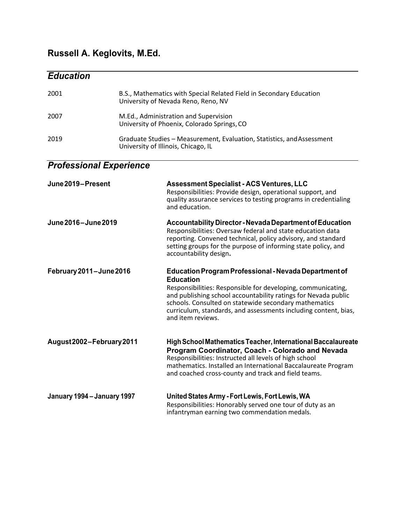## **Russell A. Keglovits, M.Ed.**

*Education*

## 2001 B.S., Mathematics with Special Related Field in Secondary Education University of Nevada Reno, Reno, NV 2007 M.Ed., Administration and Supervision University of Phoenix, Colorado Springs,CO 2019 Graduate Studies – Measurement, Evaluation, Statistics, andAssessment University of Illinois, Chicago, IL *Professional Experience* **June2019 – Present Assessment Specialist - ACS Ventures, LLC** Responsibilities: Provide design, operational support, and quality assurance services to testing programs in credentialing and education. **June2016 – June2019 Accountability Director - NevadaDepartment of Education** Responsibilities: Oversaw federal and state education data reporting. Convened technical, policy advisory, and standard setting groups for the purpose of informing state policy, and accountability design**. February 2011 – June 2016 EducationProgramProfessional - NevadaDepartment of Education** Responsibilities: Responsible for developing, communicating, and publishing school accountability ratings for Nevada public schools. Consulted on statewide secondary mathematics curriculum, standards, and assessments including content, bias, and item reviews. **August2002 – February2011 High School Mathematics Teacher, International Baccalaureate Program Coordinator, Coach - Colorado and Nevada**  Responsibilities: Instructed all levels of high school mathematics. Installed an International Baccalaureate Program and coached cross-county and track and field teams. **January 1994 – January 1997 United States Army - Fort Lewis, Fort Lewis, WA** Responsibilities: Honorably served one tour of duty as an infantryman earning two commendation medals.